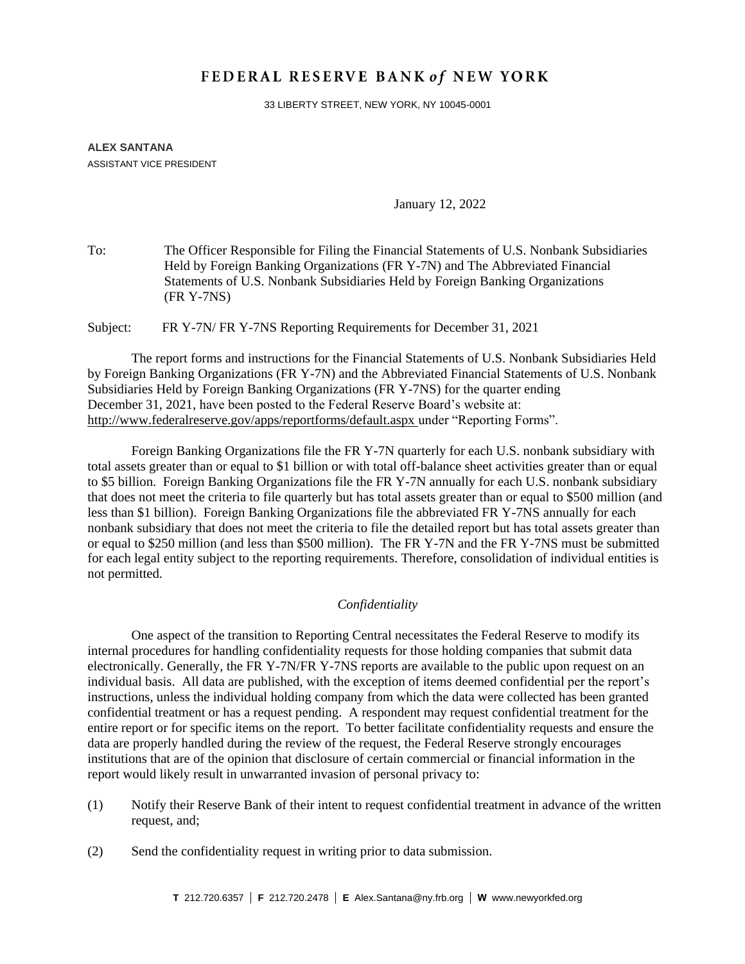# FEDERAL RESERVE BANK of NEW YORK

33 LIBERTY STREET, NEW YORK, NY 10045-0001

### **ALEX SANTANA** ASSISTANT VICE PRESIDENT

January 12, 2022

To: The Officer Responsible for Filing the Financial Statements of U.S. Nonbank Subsidiaries Held by Foreign Banking Organizations (FR Y-7N) and The Abbreviated Financial Statements of U.S. Nonbank Subsidiaries Held by Foreign Banking Organizations (FR Y-7NS)

Subject: FR Y-7N/ FR Y-7NS Reporting Requirements for December 31, 2021

The report forms and instructions for the Financial Statements of U.S. Nonbank Subsidiaries Held by Foreign Banking Organizations (FR Y-7N) and the Abbreviated Financial Statements of U.S. Nonbank Subsidiaries Held by Foreign Banking Organizations (FR Y-7NS) for the quarter ending December 31, 2021, have been posted to the Federal Reserve Board's website at: <http://www.federalreserve.gov/apps/reportforms/default.aspx> under "Reporting Forms".

Foreign Banking Organizations file the FR Y-7N quarterly for each U.S. nonbank subsidiary with total assets greater than or equal to \$1 billion or with total off-balance sheet activities greater than or equal to \$5 billion. Foreign Banking Organizations file the FR Y-7N annually for each U.S. nonbank subsidiary that does not meet the criteria to file quarterly but has total assets greater than or equal to \$500 million (and less than \$1 billion). Foreign Banking Organizations file the abbreviated FR Y-7NS annually for each nonbank subsidiary that does not meet the criteria to file the detailed report but has total assets greater than or equal to \$250 million (and less than \$500 million). The FR Y-7N and the FR Y-7NS must be submitted for each legal entity subject to the reporting requirements. Therefore, consolidation of individual entities is not permitted.

## *Confidentiality*

One aspect of the transition to Reporting Central necessitates the Federal Reserve to modify its internal procedures for handling confidentiality requests for those holding companies that submit data electronically. Generally, the FR Y-7N/FR Y-7NS reports are available to the public upon request on an individual basis. All data are published, with the exception of items deemed confidential per the report's instructions, unless the individual holding company from which the data were collected has been granted confidential treatment or has a request pending. A respondent may request confidential treatment for the entire report or for specific items on the report. To better facilitate confidentiality requests and ensure the data are properly handled during the review of the request, the Federal Reserve strongly encourages institutions that are of the opinion that disclosure of certain commercial or financial information in the report would likely result in unwarranted invasion of personal privacy to:

- (1) Notify their Reserve Bank of their intent to request confidential treatment in advance of the written request, and;
- (2) Send the confidentiality request in writing prior to data submission.